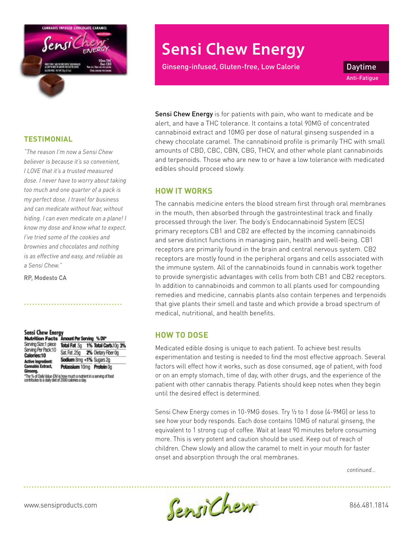

#### **TESTIMONIAL**

*"The reason I'm now a Sensi Chew believer is because it's so convenient, I LOVE that it's a trusted measured dose. I never have to worry about taking too much and one quarter of a pack is my perfect dose. I travel for business and can medicate without fear, without hiding. I can even medicate on a plane! I know my dose and know what to expect. I've tried some of the cookies and brownies and chocolates and nothing is as effective and easy, and reliable as a Sensi Chew."*

RP, Modesto CA

#### Sensi Chew Energy Nutrition Facts Amount Per Serving % DV\* Serving Size:1 piece Total Fat .5g 1% Total Carb.10g 3% Serving Per Pack 10 Sat. Fat. 25g 2% Dietary Fiber Og Calories:10 Sodium 8mg <1% Sugars 2g **Active Ingredie Cannabis Extract.** Potassium 10mg Protein 0g

"The % of Daily Value (DV) is how much a nutrient in a serving of food<br>contributes to a daily diet of 2000 calories a day.

# **Sensi Chew Energy**

Ginseng-infused, Gluten-free, Low Calorie **Canada Exercise Constant** 

Anti-Fatigue

Sensi Chew Energy is for patients with pain, who want to medicate and be alert, and have a THC tolerance. It contains a total 90MG of concentrated cannabinoid extract and 10MG per dose of natural ginseng suspended in a chewy chocolate caramel. The cannabinoid profile is primarily THC with small amounts of CBD, CBC, CBN, CBG, THCV, and other whole plant cannabinoids and terpenoids. Those who are new to or have a low tolerance with medicated edibles should proceed slowly.

## **HOW IT WORKS**

The cannabis medicine enters the blood stream first through oral membranes in the mouth, then absorbed through the gastrointestinal track and finally processed through the liver. The body's Endocannabinoid System (ECS) primary receptors CB1 and CB2 are effected by the incoming cannabinoids and serve distinct functions in managing pain, health and well-being. CB1 receptors are primarily found in the brain and central nervous system. CB2 receptors are mostly found in the peripheral organs and cells associated with the immune system. All of the cannabinoids found in cannabis work together to provide synergistic advantages with cells from both CB1 and CB2 receptors. In addition to cannabinoids and common to all plants used for compounding remedies and medicine, cannabis plants also contain terpenes and terpenoids that give plants their smell and taste and which provide a broad spectrum of medical, nutritional, and health benefits.

## **HOW TO DOSE**

Medicated edible dosing is unique to each patient. To achieve best results experimentation and testing is needed to find the most effective approach. Several factors will effect how it works, such as dose consumed, age of patient, with food or on an empty stomach, time of day, with other drugs, and the experience of the patient with other cannabis therapy. Patients should keep notes when they begin until the desired effect is determined.

Sensi Chew Energy comes in 10-9MG doses. Try ½ to 1 dose (4-9MG) or less to see how your body responds. Each dose contains 10MG of natural ginseng, the equivalent to 1 strong cup of coffee. Wait at least 90 minutes before consuming more. This is very potent and caution should be used. Keep out of reach of children. Chew slowly and allow the caramel to melt in your mouth for faster onset and absorption through the oral membranes.

*continued...*